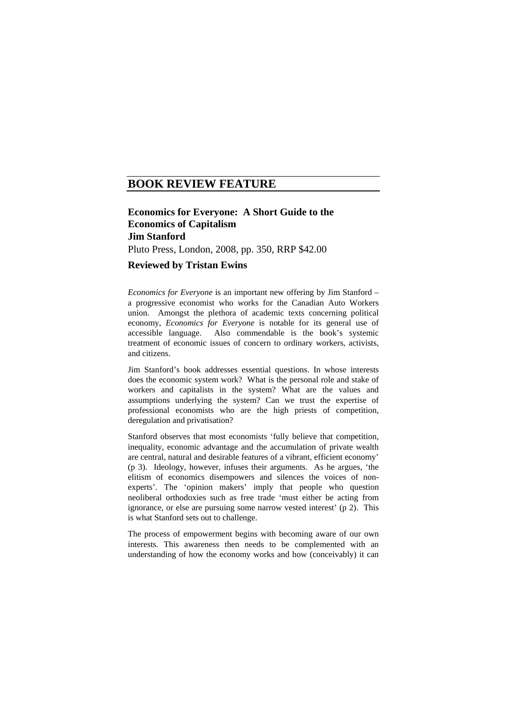# **BOOK REVIEW FEATURE**

# **Economics for Everyone: A Short Guide to the Economics of Capitalism Jim Stanford**  Pluto Press, London, 2008, pp. 350, RRP \$42.00 **Reviewed by Tristan Ewins**

*Economics for Everyone* is an important new offering by Jim Stanford – a progressive economist who works for the Canadian Auto Workers union. Amongst the plethora of academic texts concerning political economy, *Economics for Everyone* is notable for its general use of accessible language. Also commendable is the book's systemic treatment of economic issues of concern to ordinary workers, activists, and citizens.

Jim Stanford's book addresses essential questions. In whose interests does the economic system work? What is the personal role and stake of workers and capitalists in the system? What are the values and assumptions underlying the system? Can we trust the expertise of professional economists who are the high priests of competition, deregulation and privatisation?

Stanford observes that most economists 'fully believe that competition, inequality, economic advantage and the accumulation of private wealth are central, natural and desirable features of a vibrant, efficient economy' (p 3). Ideology, however, infuses their arguments. As he argues, 'the elitism of economics disempowers and silences the voices of nonexperts'. The 'opinion makers' imply that people who question neoliberal orthodoxies such as free trade 'must either be acting from ignorance, or else are pursuing some narrow vested interest' (p 2). This is what Stanford sets out to challenge.

The process of empowerment begins with becoming aware of our own interests. This awareness then needs to be complemented with an understanding of how the economy works and how (conceivably) it can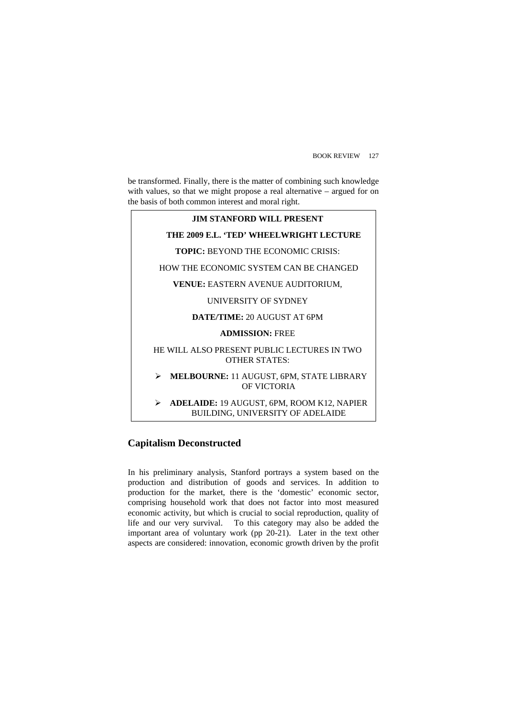be transformed. Finally, there is the matter of combining such knowledge with values, so that we might propose a real alternative – argued for on the basis of both common interest and moral right.

### **JIM STANFORD WILL PRESENT**

### **THE 2009 E.L. 'TED' WHEELWRIGHT LECTURE**

**TOPIC:** BEYOND THE ECONOMIC CRISIS:

HOW THE ECONOMIC SYSTEM CAN BE CHANGED

**VENUE:** EASTERN AVENUE AUDITORIUM,

### UNIVERSITY OF SYDNEY

### **DATE/TIME:** 20 AUGUST AT 6PM

### **ADMISSION:** FREE

### HE WILL ALSO PRESENT PUBLIC LECTURES IN TWO OTHER STATES:

### ¾ **MELBOURNE:** 11 AUGUST, 6PM, STATE LIBRARY OF VICTORIA

### ¾ **ADELAIDE:** 19 AUGUST, 6PM, ROOM K12, NAPIER BUILDING, UNIVERSITY OF ADELAIDE

## **Capitalism Deconstructed**

In his preliminary analysis, Stanford portrays a system based on the production and distribution of goods and services. In addition to production for the market, there is the 'domestic' economic sector, comprising household work that does not factor into most measured economic activity, but which is crucial to social reproduction, quality of life and our very survival. To this category may also be added the important area of voluntary work (pp 20-21). Later in the text other aspects are considered: innovation, economic growth driven by the profit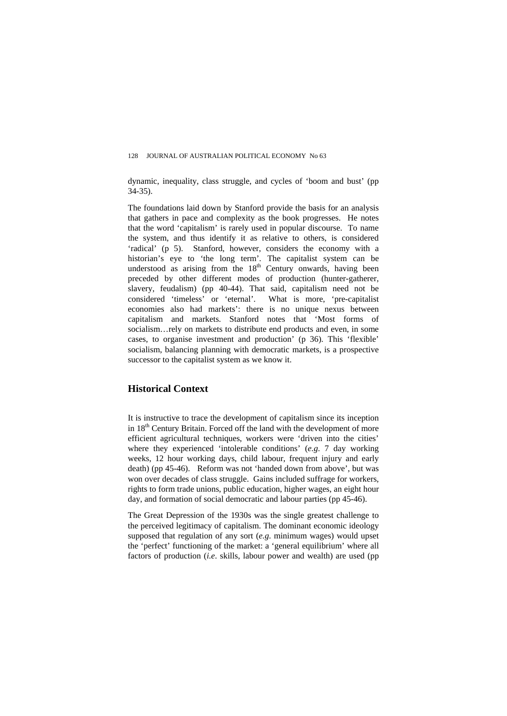dynamic, inequality, class struggle, and cycles of 'boom and bust' (pp 34-35).

The foundations laid down by Stanford provide the basis for an analysis that gathers in pace and complexity as the book progresses. He notes that the word 'capitalism' is rarely used in popular discourse. To name the system, and thus identify it as relative to others, is considered 'radical' (p 5). Stanford, however, considers the economy with a historian's eye to 'the long term'. The capitalist system can be understood as arising from the  $18<sup>th</sup>$  Century onwards, having been preceded by other different modes of production (hunter-gatherer, slavery, feudalism) (pp 40-44). That said, capitalism need not be considered 'timeless' or 'eternal'. What is more, 'pre-capitalist economies also had markets': there is no unique nexus between capitalism and markets. Stanford notes that 'Most forms of socialism…rely on markets to distribute end products and even, in some cases, to organise investment and production' (p 36). This 'flexible' socialism, balancing planning with democratic markets, is a prospective successor to the capitalist system as we know it.

## **Historical Context**

It is instructive to trace the development of capitalism since its inception in 18<sup>th</sup> Century Britain. Forced off the land with the development of more efficient agricultural techniques, workers were 'driven into the cities' where they experienced 'intolerable conditions' (*e.g*. 7 day working weeks, 12 hour working days, child labour, frequent injury and early death) (pp 45-46).Reform was not 'handed down from above', but was won over decades of class struggle. Gains included suffrage for workers, rights to form trade unions, public education, higher wages, an eight hour day, and formation of social democratic and labour parties (pp 45-46).

The Great Depression of the 1930s was the single greatest challenge to the perceived legitimacy of capitalism. The dominant economic ideology supposed that regulation of any sort (*e.g*. minimum wages) would upset the 'perfect' functioning of the market: a 'general equilibrium' where all factors of production (*i.e*. skills, labour power and wealth) are used (pp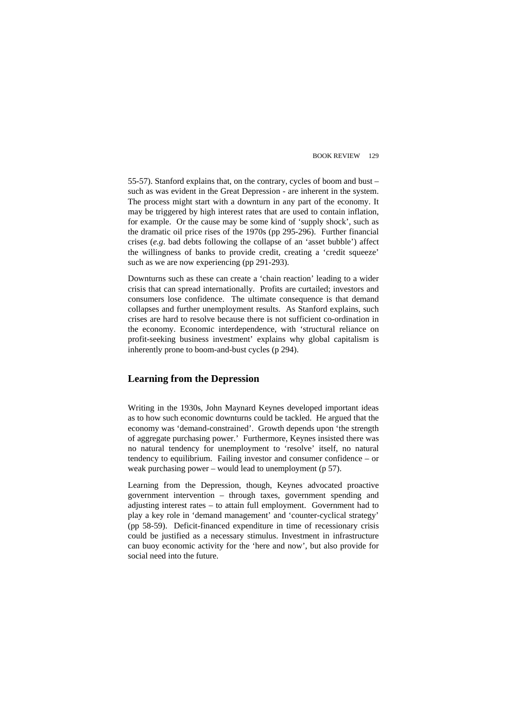55-57). Stanford explains that, on the contrary, cycles of boom and bust – such as was evident in the Great Depression - are inherent in the system. The process might start with a downturn in any part of the economy. It may be triggered by high interest rates that are used to contain inflation, for example. Or the cause may be some kind of 'supply shock', such as the dramatic oil price rises of the 1970s (pp 295-296). Further financial crises (*e.g*. bad debts following the collapse of an 'asset bubble') affect the willingness of banks to provide credit, creating a 'credit squeeze' such as we are now experiencing (pp 291-293).

Downturns such as these can create a 'chain reaction' leading to a wider crisis that can spread internationally. Profits are curtailed; investors and consumers lose confidence. The ultimate consequence is that demand collapses and further unemployment results. As Stanford explains, such crises are hard to resolve because there is not sufficient co-ordination in the economy. Economic interdependence, with 'structural reliance on profit-seeking business investment' explains why global capitalism is inherently prone to boom-and-bust cycles (p 294).

## **Learning from the Depression**

Writing in the 1930s, John Maynard Keynes developed important ideas as to how such economic downturns could be tackled. He argued that the economy was 'demand-constrained'. Growth depends upon 'the strength of aggregate purchasing power.' Furthermore, Keynes insisted there was no natural tendency for unemployment to 'resolve' itself, no natural tendency to equilibrium. Failing investor and consumer confidence – or weak purchasing power – would lead to unemployment (p 57).

Learning from the Depression, though, Keynes advocated proactive government intervention – through taxes, government spending and adjusting interest rates – to attain full employment. Government had to play a key role in 'demand management' and 'counter-cyclical strategy' (pp 58-59).Deficit-financed expenditure in time of recessionary crisis could be justified as a necessary stimulus. Investment in infrastructure can buoy economic activity for the 'here and now', but also provide for social need into the future.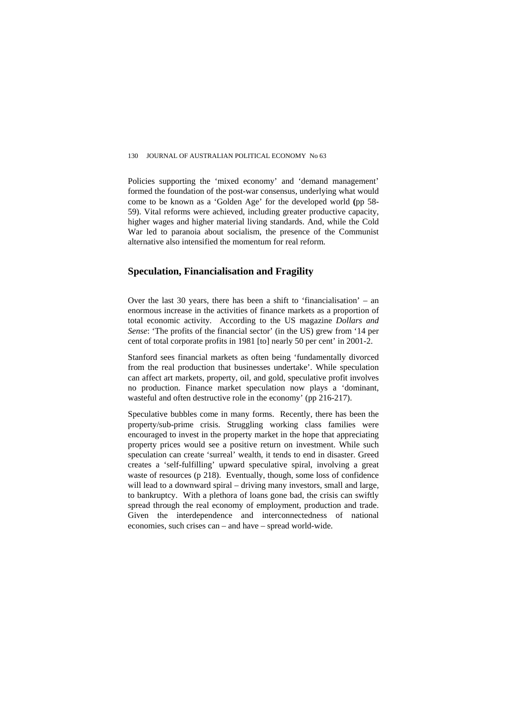#### 130 JOURNAL OF AUSTRALIAN POLITICAL ECONOMY No 63

Policies supporting the 'mixed economy' and 'demand management' formed the foundation of the post-war consensus, underlying what would come to be known as a 'Golden Age' for the developed world **(**pp 58- 59). Vital reforms were achieved, including greater productive capacity, higher wages and higher material living standards. And, while the Cold War led to paranoia about socialism, the presence of the Communist alternative also intensified the momentum for real reform.

### **Speculation, Financialisation and Fragility**

Over the last 30 years, there has been a shift to 'financialisation' – an enormous increase in the activities of finance markets as a proportion of total economic activity. According to the US magazine *Dollars and Sense*: 'The profits of the financial sector' (in the US) grew from '14 per cent of total corporate profits in 1981 [to] nearly 50 per cent' in 2001-2.

Stanford sees financial markets as often being 'fundamentally divorced from the real production that businesses undertake'. While speculation can affect art markets, property, oil, and gold, speculative profit involves no production. Finance market speculation now plays a 'dominant, wasteful and often destructive role in the economy' (pp 216-217).

Speculative bubbles come in many forms. Recently, there has been the property/sub-prime crisis. Struggling working class families were encouraged to invest in the property market in the hope that appreciating property prices would see a positive return on investment. While such speculation can create 'surreal' wealth, it tends to end in disaster. Greed creates a 'self-fulfilling' upward speculative spiral, involving a great waste of resources (p 218). Eventually, though, some loss of confidence will lead to a downward spiral – driving many investors, small and large, to bankruptcy. With a plethora of loans gone bad, the crisis can swiftly spread through the real economy of employment, production and trade. Given the interdependence and interconnectedness of national economies, such crises can – and have – spread world-wide.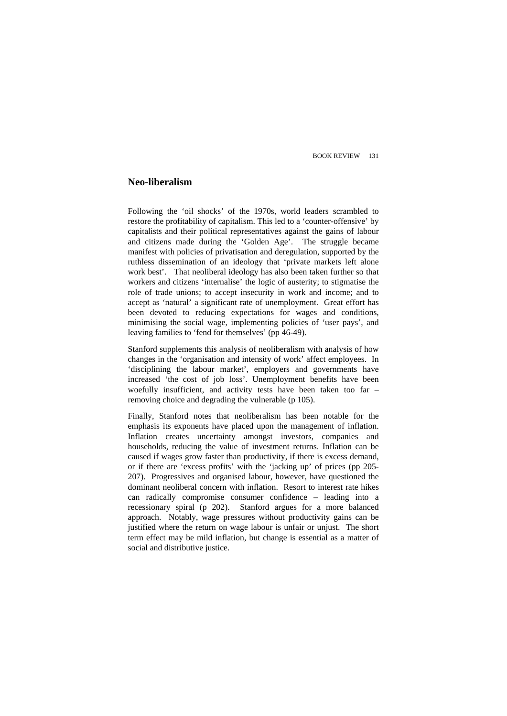### **Neo-liberalism**

Following the 'oil shocks' of the 1970s, world leaders scrambled to restore the profitability of capitalism. This led to a 'counter-offensive' by capitalists and their political representatives against the gains of labour and citizens made during the 'Golden Age'. The struggle became manifest with policies of privatisation and deregulation, supported by the ruthless dissemination of an ideology that 'private markets left alone work best'. That neoliberal ideology has also been taken further so that workers and citizens 'internalise' the logic of austerity; to stigmatise the role of trade unions; to accept insecurity in work and income; and to accept as 'natural' a significant rate of unemployment. Great effort has been devoted to reducing expectations for wages and conditions, minimising the social wage, implementing policies of 'user pays', and leaving families to 'fend for themselves' (pp 46-49).

Stanford supplements this analysis of neoliberalism with analysis of how changes in the 'organisation and intensity of work' affect employees. In 'disciplining the labour market', employers and governments have increased 'the cost of job loss'. Unemployment benefits have been woefully insufficient, and activity tests have been taken too far – removing choice and degrading the vulnerable (p 105).

Finally, Stanford notes that neoliberalism has been notable for the emphasis its exponents have placed upon the management of inflation. Inflation creates uncertainty amongst investors, companies and households, reducing the value of investment returns. Inflation can be caused if wages grow faster than productivity, if there is excess demand, or if there are 'excess profits' with the 'jacking up' of prices (pp 205- 207).Progressives and organised labour, however, have questioned the dominant neoliberal concern with inflation. Resort to interest rate hikes can radically compromise consumer confidence – leading into a recessionary spiral (p 202). Stanford argues for a more balanced approach. Notably, wage pressures without productivity gains can be justified where the return on wage labour is unfair or unjust. The short term effect may be mild inflation, but change is essential as a matter of social and distributive justice.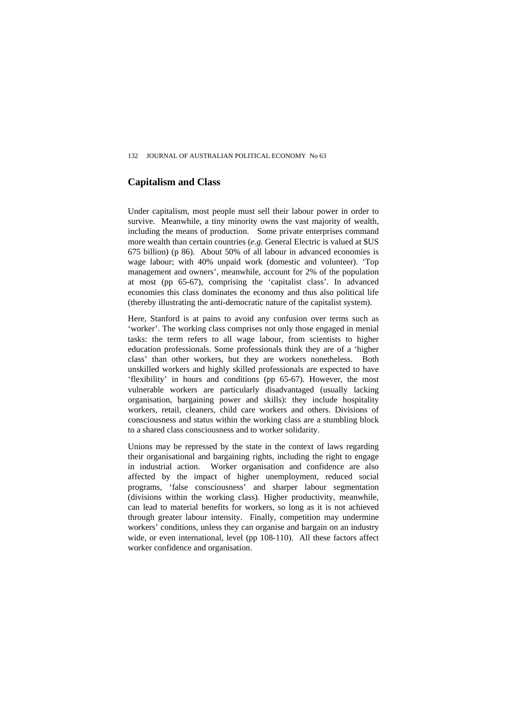## **Capitalism and Class**

Under capitalism, most people must sell their labour power in order to survive. Meanwhile, a tiny minority owns the vast majority of wealth, including the means of production. Some private enterprises command more wealth than certain countries (*e.g.* General Electric is valued at \$US 675 billion) (p 86).About 50% of all labour in advanced economies is wage labour; with 40% unpaid work (domestic and volunteer). 'Top management and owners', meanwhile, account for 2% of the population at most (pp 65-67), comprising the 'capitalist class'. In advanced economies this class dominates the economy and thus also political life (thereby illustrating the anti-democratic nature of the capitalist system).

Here, Stanford is at pains to avoid any confusion over terms such as 'worker'. The working class comprises not only those engaged in menial tasks: the term refers to all wage labour, from scientists to higher education professionals. Some professionals think they are of a 'higher class' than other workers, but they are workers nonetheless. Both unskilled workers and highly skilled professionals are expected to have 'flexibility' in hours and conditions (pp 65-67). However, the most vulnerable workers are particularly disadvantaged (usually lacking organisation, bargaining power and skills): they include hospitality workers, retail, cleaners, child care workers and others. Divisions of consciousness and status within the working class are a stumbling block to a shared class consciousness and to worker solidarity.

Unions may be repressed by the state in the context of laws regarding their organisational and bargaining rights, including the right to engage in industrial action. Worker organisation and confidence are also affected by the impact of higher unemployment, reduced social programs, 'false consciousness' and sharper labour segmentation (divisions within the working class). Higher productivity, meanwhile, can lead to material benefits for workers, so long as it is not achieved through greater labour intensity. Finally, competition may undermine workers' conditions, unless they can organise and bargain on an industry wide, or even international, level (pp 108-110).All these factors affect worker confidence and organisation.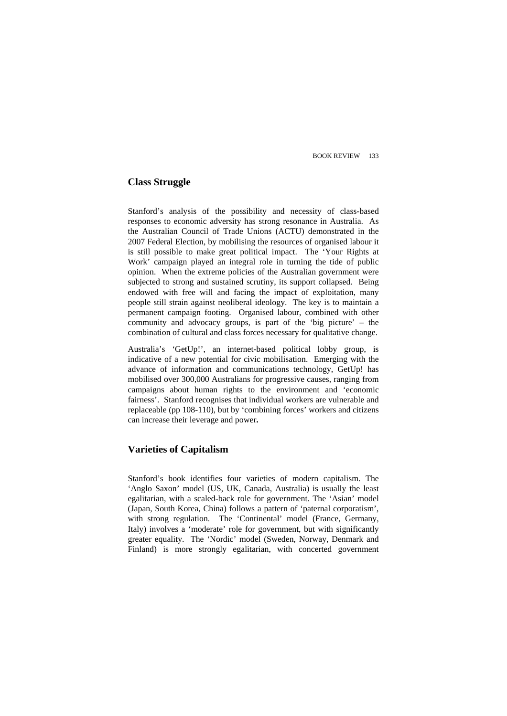## **Class Struggle**

Stanford's analysis of the possibility and necessity of class-based responses to economic adversity has strong resonance in Australia. As the Australian Council of Trade Unions (ACTU) demonstrated in the 2007 Federal Election, by mobilising the resources of organised labour it is still possible to make great political impact. The 'Your Rights at Work' campaign played an integral role in turning the tide of public opinion. When the extreme policies of the Australian government were subjected to strong and sustained scrutiny, its support collapsed. Being endowed with free will and facing the impact of exploitation, many people still strain against neoliberal ideology. The key is to maintain a permanent campaign footing. Organised labour, combined with other community and advocacy groups, is part of the 'big picture' – the combination of cultural and class forces necessary for qualitative change.

Australia's 'GetUp!', an internet-based political lobby group, is indicative of a new potential for civic mobilisation. Emerging with the advance of information and communications technology, GetUp! has mobilised over 300,000 Australians for progressive causes, ranging from campaigns about human rights to the environment and 'economic fairness'. Stanford recognises that individual workers are vulnerable and replaceable (pp 108-110), but by 'combining forces' workers and citizens can increase their leverage and power**.** 

## **Varieties of Capitalism**

Stanford's book identifies four varieties of modern capitalism. The 'Anglo Saxon' model (US, UK, Canada, Australia) is usually the least egalitarian, with a scaled-back role for government. The 'Asian' model (Japan, South Korea, China) follows a pattern of 'paternal corporatism', with strong regulation. The 'Continental' model (France, Germany, Italy) involves a 'moderate' role for government, but with significantly greater equality. The 'Nordic' model (Sweden, Norway, Denmark and Finland) is more strongly egalitarian, with concerted government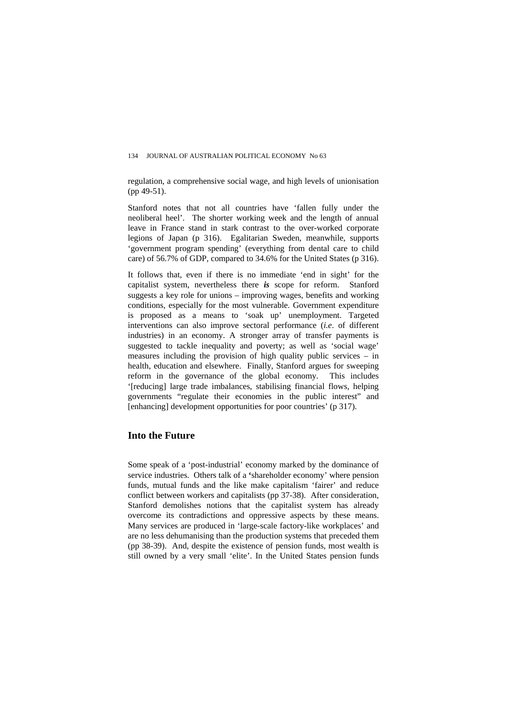regulation, a comprehensive social wage, and high levels of unionisation (pp 49-51).

Stanford notes that not all countries have 'fallen fully under the neoliberal heel'. The shorter working week and the length of annual leave in France stand in stark contrast to the over-worked corporate legions of Japan (p 316).Egalitarian Sweden, meanwhile, supports 'government program spending' (everything from dental care to child care) of 56.7% of GDP, compared to 34.6% for the United States (p 316).

It follows that, even if there is no immediate 'end in sight' for the capitalist system, nevertheless there *is* scope for reform. Stanford suggests a key role for unions – improving wages, benefits and working conditions, especially for the most vulnerable. Government expenditure is proposed as a means to 'soak up' unemployment. Targeted interventions can also improve sectoral performance (*i.e*. of different industries) in an economy. A stronger array of transfer payments is suggested to tackle inequality and poverty; as well as 'social wage' measures including the provision of high quality public services – in health, education and elsewhere. Finally, Stanford argues for sweeping reform in the governance of the global economy. This includes '[reducing] large trade imbalances, stabilising financial flows, helping governments "regulate their economies in the public interest" and [enhancing] development opportunities for poor countries' (p 317).

### **Into the Future**

Some speak of a 'post-industrial' economy marked by the dominance of service industries. Others talk of a **'**shareholder economy' where pension funds, mutual funds and the like make capitalism 'fairer' and reduce conflict between workers and capitalists (pp 37-38).After consideration, Stanford demolishes notions that the capitalist system has already overcome its contradictions and oppressive aspects by these means. Many services are produced in 'large-scale factory-like workplaces' and are no less dehumanising than the production systems that preceded them (pp 38-39). And, despite the existence of pension funds, most wealth is still owned by a very small 'elite'. In the United States pension funds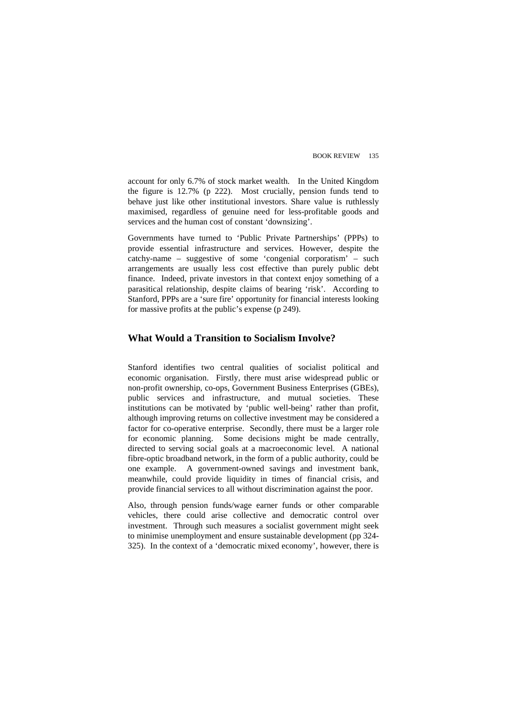account for only 6.7% of stock market wealth. In the United Kingdom the figure is 12.7% (p 222). Most crucially, pension funds tend to behave just like other institutional investors. Share value is ruthlessly maximised, regardless of genuine need for less-profitable goods and services and the human cost of constant 'downsizing'.

Governments have turned to 'Public Private Partnerships' (PPPs) to provide essential infrastructure and services. However, despite the catchy-name – suggestive of some 'congenial corporatism' – such arrangements are usually less cost effective than purely public debt finance. Indeed, private investors in that context enjoy something of a parasitical relationship, despite claims of bearing 'risk'. According to Stanford, PPPs are a 'sure fire' opportunity for financial interests looking for massive profits at the public's expense (p 249).

### **What Would a Transition to Socialism Involve?**

Stanford identifies two central qualities of socialist political and economic organisation. Firstly, there must arise widespread public or non-profit ownership, co-ops, Government Business Enterprises (GBEs), public services and infrastructure, and mutual societies. These institutions can be motivated by 'public well-being' rather than profit, although improving returns on collective investment may be considered a factor for co-operative enterprise. Secondly, there must be a larger role for economic planning.Some decisions might be made centrally, directed to serving social goals at a macroeconomic level. A national fibre-optic broadband network, in the form of a public authority, could be one example. A government-owned savings and investment bank, meanwhile, could provide liquidity in times of financial crisis, and provide financial services to all without discrimination against the poor.

Also, through pension funds/wage earner funds or other comparable vehicles, there could arise collective and democratic control over investment. Through such measures a socialist government might seek to minimise unemployment and ensure sustainable development (pp 324- 325). In the context of a 'democratic mixed economy', however, there is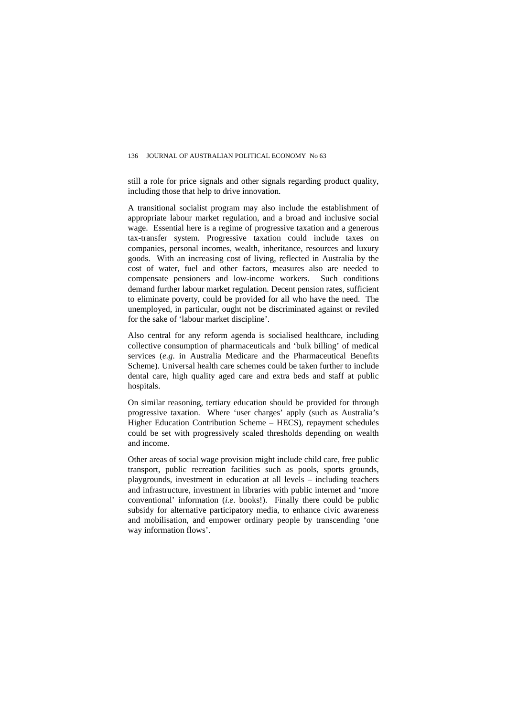still a role for price signals and other signals regarding product quality, including those that help to drive innovation.

A transitional socialist program may also include the establishment of appropriate labour market regulation, and a broad and inclusive social wage. Essential here is a regime of progressive taxation and a generous tax-transfer system. Progressive taxation could include taxes on companies, personal incomes, wealth, inheritance, resources and luxury goods. With an increasing cost of living, reflected in Australia by the cost of water, fuel and other factors, measures also are needed to compensate pensioners and low-income workers. Such conditions demand further labour market regulation. Decent pension rates, sufficient to eliminate poverty, could be provided for all who have the need. The unemployed, in particular, ought not be discriminated against or reviled for the sake of 'labour market discipline'.

Also central for any reform agenda is socialised healthcare, including collective consumption of pharmaceuticals and 'bulk billing' of medical services (*e.g*. in Australia Medicare and the Pharmaceutical Benefits Scheme). Universal health care schemes could be taken further to include dental care, high quality aged care and extra beds and staff at public hospitals.

On similar reasoning, tertiary education should be provided for through progressive taxation. Where 'user charges' apply (such as Australia's Higher Education Contribution Scheme – HECS), repayment schedules could be set with progressively scaled thresholds depending on wealth and income.

Other areas of social wage provision might include child care, free public transport, public recreation facilities such as pools, sports grounds, playgrounds, investment in education at all levels – including teachers and infrastructure, investment in libraries with public internet and 'more conventional' information (*i.e*. books!). Finally there could be public subsidy for alternative participatory media, to enhance civic awareness and mobilisation, and empower ordinary people by transcending 'one way information flows'.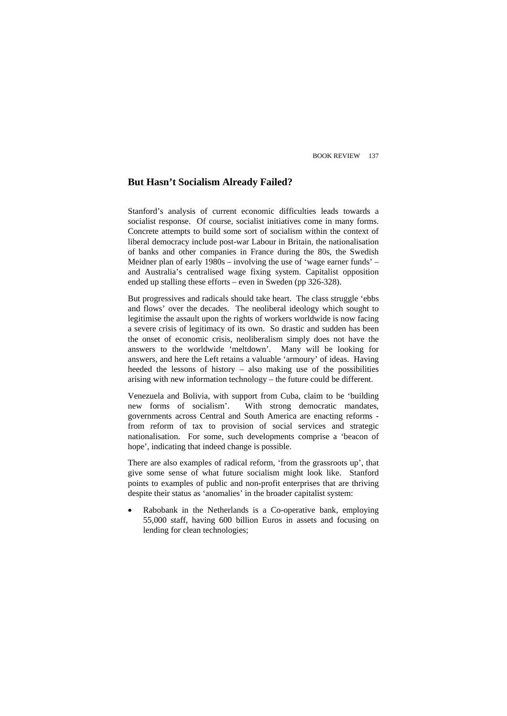## **But Hasn't Socialism Already Failed?**

Stanford's analysis of current economic difficulties leads towards a socialist response. Of course, socialist initiatives come in many forms. Concrete attempts to build some sort of socialism within the context of liberal democracy include post-war Labour in Britain, the nationalisation of banks and other companies in France during the 80s, the Swedish Meidner plan of early 1980s – involving the use of 'wage earner funds' – and Australia's centralised wage fixing system. Capitalist opposition ended up stalling these efforts – even in Sweden (pp 326-328).

But progressives and radicals should take heart. The class struggle 'ebbs and flows' over the decades. The neoliberal ideology which sought to legitimise the assault upon the rights of workers worldwide is now facing a severe crisis of legitimacy of its own. So drastic and sudden has been the onset of economic crisis, neoliberalism simply does not have the answers to the worldwide 'meltdown'. Many will be looking for answers, and here the Left retains a valuable 'armoury' of ideas. Having heeded the lessons of history – also making use of the possibilities arising with new information technology – the future could be different.

Venezuela and Bolivia, with support from Cuba, claim to be 'building new forms of socialism'. With strong democratic mandates, governments across Central and South America are enacting reforms from reform of tax to provision of social services and strategic nationalisation. For some, such developments comprise a 'beacon of hope', indicating that indeed change is possible.

There are also examples of radical reform, 'from the grassroots up', that give some sense of what future socialism might look like. Stanford points to examples of public and non-profit enterprises that are thriving despite their status as 'anomalies' in the broader capitalist system:

• Rabobank in the Netherlands is a Co-operative bank, employing 55,000 staff, having 600 billion Euros in assets and focusing on lending for clean technologies;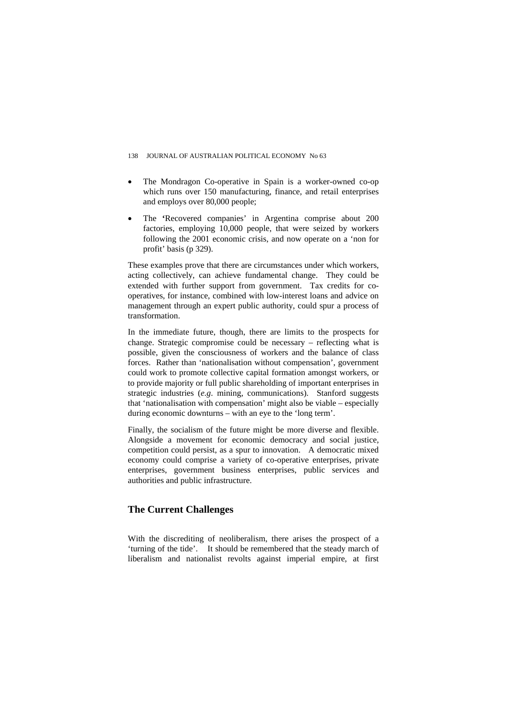#### 138 JOURNAL OF AUSTRALIAN POLITICAL ECONOMY No 63

- The Mondragon Co-operative in Spain is a worker-owned co-op which runs over 150 manufacturing, finance, and retail enterprises and employs over 80,000 people;
- The **'**Recovered companies' in Argentina comprise about 200 factories, employing 10,000 people, that were seized by workers following the 2001 economic crisis, and now operate on a 'non for profit' basis (p 329).

These examples prove that there are circumstances under which workers, acting collectively, can achieve fundamental change. They could be extended with further support from government. Tax credits for cooperatives, for instance, combined with low-interest loans and advice on management through an expert public authority, could spur a process of transformation.

In the immediate future, though, there are limits to the prospects for change. Strategic compromise could be necessary – reflecting what is possible, given the consciousness of workers and the balance of class forces. Rather than 'nationalisation without compensation', government could work to promote collective capital formation amongst workers, or to provide majority or full public shareholding of important enterprises in strategic industries (*e.g*. mining, communications). Stanford suggests that 'nationalisation with compensation' might also be viable – especially during economic downturns – with an eye to the 'long term'.

Finally, the socialism of the future might be more diverse and flexible. Alongside a movement for economic democracy and social justice, competition could persist, as a spur to innovation. A democratic mixed economy could comprise a variety of co-operative enterprises, private enterprises, government business enterprises, public services and authorities and public infrastructure.

## **The Current Challenges**

With the discrediting of neoliberalism, there arises the prospect of a 'turning of the tide'. It should be remembered that the steady march of liberalism and nationalist revolts against imperial empire, at first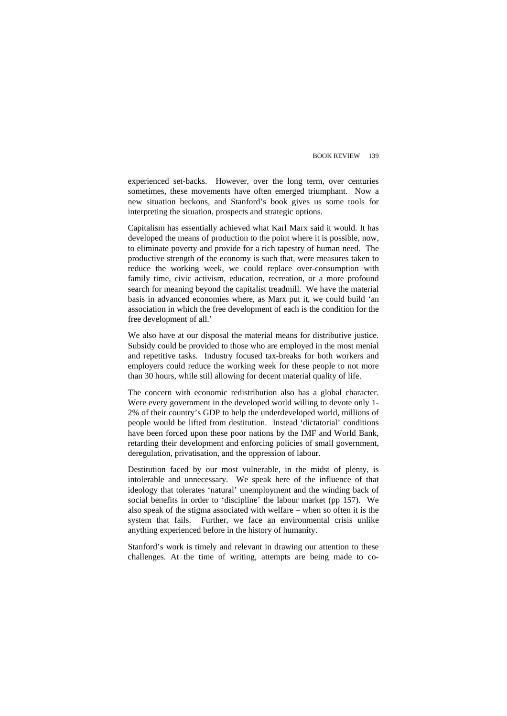experienced set-backs. However, over the long term, over centuries sometimes, these movements have often emerged triumphant. Now a new situation beckons, and Stanford's book gives us some tools for interpreting the situation, prospects and strategic options.

Capitalism has essentially achieved what Karl Marx said it would. It has developed the means of production to the point where it is possible, now, to eliminate poverty and provide for a rich tapestry of human need. The productive strength of the economy is such that, were measures taken to reduce the working week, we could replace over-consumption with family time, civic activism, education, recreation, or a more profound search for meaning beyond the capitalist treadmill. We have the material basis in advanced economies where, as Marx put it, we could build 'an association in which the free development of each is the condition for the free development of all.'

We also have at our disposal the material means for distributive justice. Subsidy could be provided to those who are employed in the most menial and repetitive tasks. Industry focused tax-breaks for both workers and employers could reduce the working week for these people to not more than 30 hours, while still allowing for decent material quality of life.

The concern with economic redistribution also has a global character. Were every government in the developed world willing to devote only 1- 2% of their country's GDP to help the underdeveloped world, millions of people would be lifted from destitution. Instead 'dictatorial' conditions have been forced upon these poor nations by the IMF and World Bank, retarding their development and enforcing policies of small government, deregulation, privatisation, and the oppression of labour.

Destitution faced by our most vulnerable, in the midst of plenty, is intolerable and unnecessary. We speak here of the influence of that ideology that tolerates 'natural' unemployment and the winding back of social benefits in order to 'discipline' the labour market (pp 157). We also speak of the stigma associated with welfare – when so often it is the system that fails. Further, we face an environmental crisis unlike anything experienced before in the history of humanity.

Stanford's work is timely and relevant in drawing our attention to these challenges. At the time of writing, attempts are being made to co